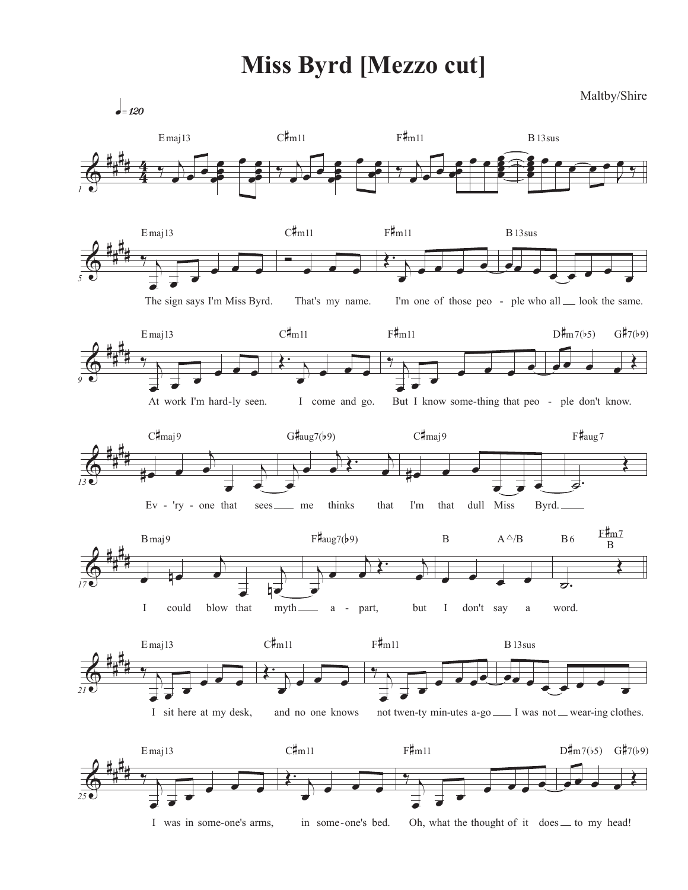## **Miss Byrd [Mezzo cut]**

Maltby/Shire